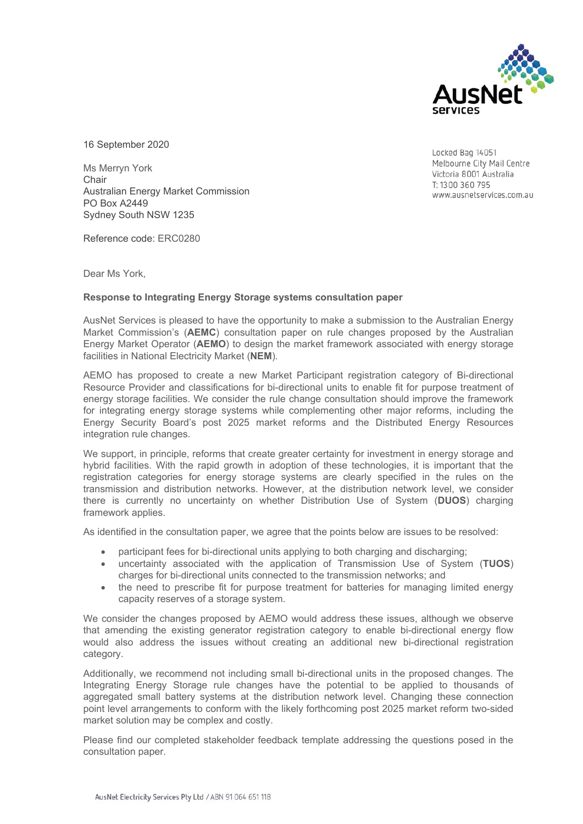

16 September 2020

Ms Merryn York **Chair** Australian Energy Market Commission PO Box A2449 Sydney South NSW 1235

Reference code: ERC0280

Dear Ms York,

## **Response to Integrating Energy Storage systems consultation paper**

AusNet Services is pleased to have the opportunity to make a submission to the Australian Energy Market Commission's (**AEMC**) consultation paper on rule changes proposed by the Australian Energy Market Operator (**AEMO**) to design the market framework associated with energy storage facilities in National Electricity Market (**NEM**).

AEMO has proposed to create a new Market Participant registration category of Bi-directional Resource Provider and classifications for bi-directional units to enable fit for purpose treatment of energy storage facilities. We consider the rule change consultation should improve the framework for integrating energy storage systems while complementing other major reforms, including the Energy Security Board's post 2025 market reforms and the Distributed Energy Resources integration rule changes.

We support, in principle, reforms that create greater certainty for investment in energy storage and hybrid facilities. With the rapid growth in adoption of these technologies, it is important that the registration categories for energy storage systems are clearly specified in the rules on the transmission and distribution networks. However, at the distribution network level, we consider there is currently no uncertainty on whether Distribution Use of System (**DUOS**) charging framework applies.

As identified in the consultation paper, we agree that the points below are issues to be resolved:

- participant fees for bi-directional units applying to both charging and discharging;
- uncertainty associated with the application of Transmission Use of System (**TUOS**) charges for bi-directional units connected to the transmission networks; and
- the need to prescribe fit for purpose treatment for batteries for managing limited energy capacity reserves of a storage system.

We consider the changes proposed by AEMO would address these issues, although we observe that amending the existing generator registration category to enable bi-directional energy flow would also address the issues without creating an additional new bi-directional registration category.

Additionally, we recommend not including small bi-directional units in the proposed changes. The Integrating Energy Storage rule changes have the potential to be applied to thousands of aggregated small battery systems at the distribution network level. Changing these connection point level arrangements to conform with the likely forthcoming post 2025 market reform two-sided market solution may be complex and costly.

Please find our completed stakeholder feedback template addressing the questions posed in the consultation paper.

Locked Bag 14051 Melbourne City Mail Centre Victoria 8001 Australia T: 1300 360 795 www.ausnetservices.com.au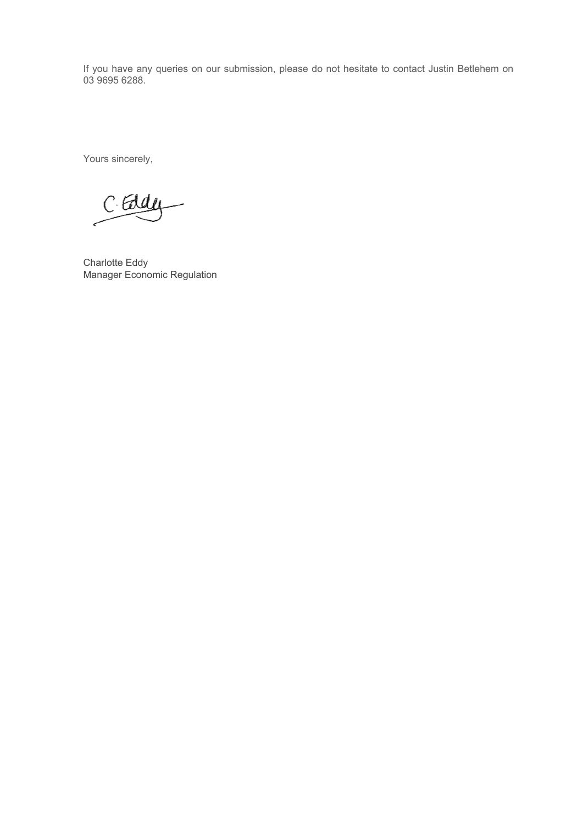If you have any queries on our submission, please do not hesitate to contact Justin Betlehem on 03 9695 6288.

Yours sincerely,

C. Eddy

Charlotte Eddy Manager Economic Regulation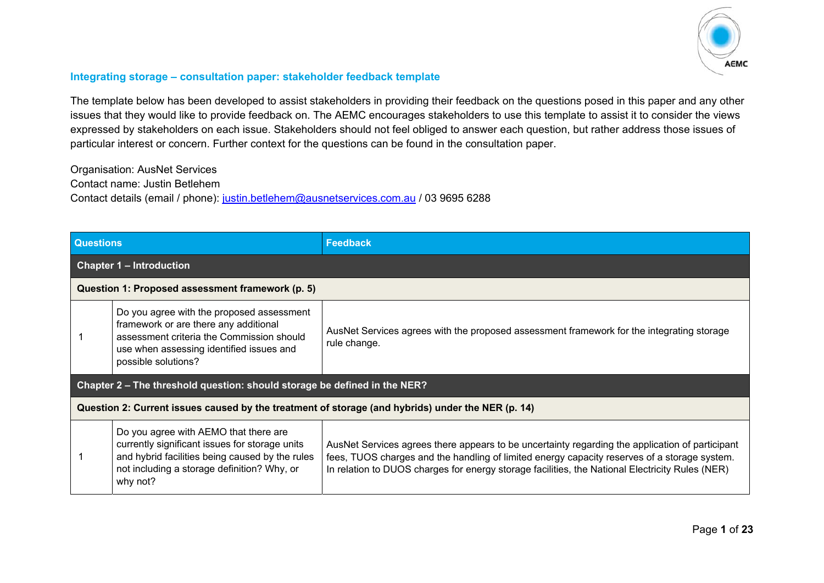

## **Integrating storage – consultation paper: stakeholder feedback template**

The template below has been developed to assist stakeholders in providing their feedback on the questions posed in this paper and any other issues that they would like to provide feedback on. The AEMC encourages stakeholders to use this template to assist it to consider the views expressed by stakeholders on each issue. Stakeholders should not feel obliged to answer each question, but rather address those issues of particular interest or concern. Further context for the questions can be found in the consultation paper.

Organisation: AusNet Services

Contact name: Justin Betlehem

Contact details (email / phone): justin.betlehem@ausnetservices.com.au / 03 9695 6288

| <b>Questions</b>                                                                                  |                                                                                                                                                                                                       | <b>Feedback</b>                                                                                                                                                                                                                                                                                    |  |
|---------------------------------------------------------------------------------------------------|-------------------------------------------------------------------------------------------------------------------------------------------------------------------------------------------------------|----------------------------------------------------------------------------------------------------------------------------------------------------------------------------------------------------------------------------------------------------------------------------------------------------|--|
|                                                                                                   | <b>Chapter 1 - Introduction</b>                                                                                                                                                                       |                                                                                                                                                                                                                                                                                                    |  |
|                                                                                                   | Question 1: Proposed assessment framework (p. 5)                                                                                                                                                      |                                                                                                                                                                                                                                                                                                    |  |
|                                                                                                   | Do you agree with the proposed assessment<br>framework or are there any additional<br>assessment criteria the Commission should<br>use when assessing identified issues and<br>possible solutions?    | AusNet Services agrees with the proposed assessment framework for the integrating storage<br>rule change.                                                                                                                                                                                          |  |
| Chapter 2 – The threshold question: should storage be defined in the NER?                         |                                                                                                                                                                                                       |                                                                                                                                                                                                                                                                                                    |  |
| Question 2: Current issues caused by the treatment of storage (and hybrids) under the NER (p. 14) |                                                                                                                                                                                                       |                                                                                                                                                                                                                                                                                                    |  |
|                                                                                                   | Do you agree with AEMO that there are<br>currently significant issues for storage units<br>and hybrid facilities being caused by the rules<br>not including a storage definition? Why, or<br>why not? | AusNet Services agrees there appears to be uncertainty regarding the application of participant<br>fees, TUOS charges and the handling of limited energy capacity reserves of a storage system.<br>In relation to DUOS charges for energy storage facilities, the National Electricity Rules (NER) |  |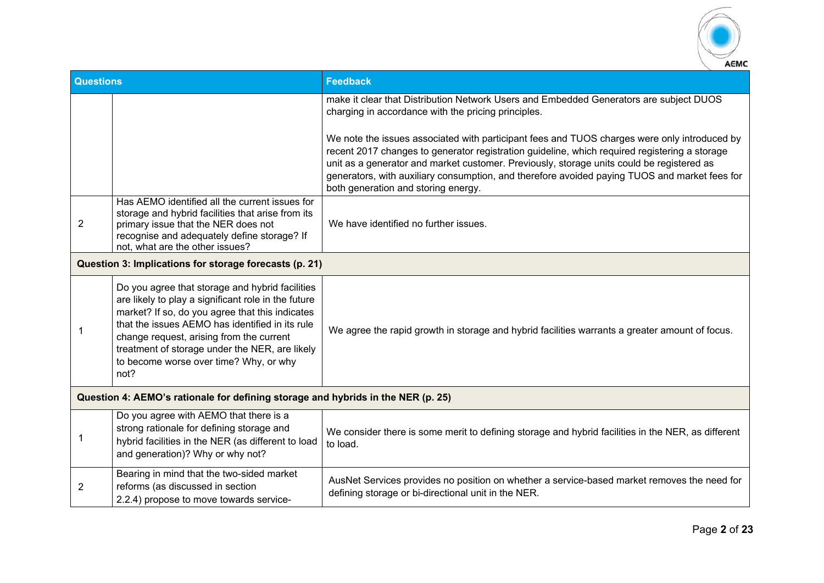

| <b>Questions</b>                                                                 |                                                                                                                                                                                                                                                                                                                                                              | <b>Feedback</b>                                                                                                                                                                                                                                                                                                                                                                                                                    |
|----------------------------------------------------------------------------------|--------------------------------------------------------------------------------------------------------------------------------------------------------------------------------------------------------------------------------------------------------------------------------------------------------------------------------------------------------------|------------------------------------------------------------------------------------------------------------------------------------------------------------------------------------------------------------------------------------------------------------------------------------------------------------------------------------------------------------------------------------------------------------------------------------|
|                                                                                  |                                                                                                                                                                                                                                                                                                                                                              | make it clear that Distribution Network Users and Embedded Generators are subject DUOS<br>charging in accordance with the pricing principles.                                                                                                                                                                                                                                                                                      |
|                                                                                  |                                                                                                                                                                                                                                                                                                                                                              | We note the issues associated with participant fees and TUOS charges were only introduced by<br>recent 2017 changes to generator registration guideline, which required registering a storage<br>unit as a generator and market customer. Previously, storage units could be registered as<br>generators, with auxiliary consumption, and therefore avoided paying TUOS and market fees for<br>both generation and storing energy. |
| $\overline{2}$                                                                   | Has AEMO identified all the current issues for<br>storage and hybrid facilities that arise from its<br>primary issue that the NER does not<br>recognise and adequately define storage? If<br>not, what are the other issues?                                                                                                                                 | We have identified no further issues.                                                                                                                                                                                                                                                                                                                                                                                              |
|                                                                                  | Question 3: Implications for storage forecasts (p. 21)                                                                                                                                                                                                                                                                                                       |                                                                                                                                                                                                                                                                                                                                                                                                                                    |
|                                                                                  | Do you agree that storage and hybrid facilities<br>are likely to play a significant role in the future<br>market? If so, do you agree that this indicates<br>that the issues AEMO has identified in its rule<br>change request, arising from the current<br>treatment of storage under the NER, are likely<br>to become worse over time? Why, or why<br>not? | We agree the rapid growth in storage and hybrid facilities warrants a greater amount of focus.                                                                                                                                                                                                                                                                                                                                     |
| Question 4: AEMO's rationale for defining storage and hybrids in the NER (p. 25) |                                                                                                                                                                                                                                                                                                                                                              |                                                                                                                                                                                                                                                                                                                                                                                                                                    |
| 1                                                                                | Do you agree with AEMO that there is a<br>strong rationale for defining storage and<br>hybrid facilities in the NER (as different to load<br>and generation)? Why or why not?                                                                                                                                                                                | We consider there is some merit to defining storage and hybrid facilities in the NER, as different<br>to load.                                                                                                                                                                                                                                                                                                                     |
| 2                                                                                | Bearing in mind that the two-sided market<br>reforms (as discussed in section<br>2.2.4) propose to move towards service-                                                                                                                                                                                                                                     | AusNet Services provides no position on whether a service-based market removes the need for<br>defining storage or bi-directional unit in the NER.                                                                                                                                                                                                                                                                                 |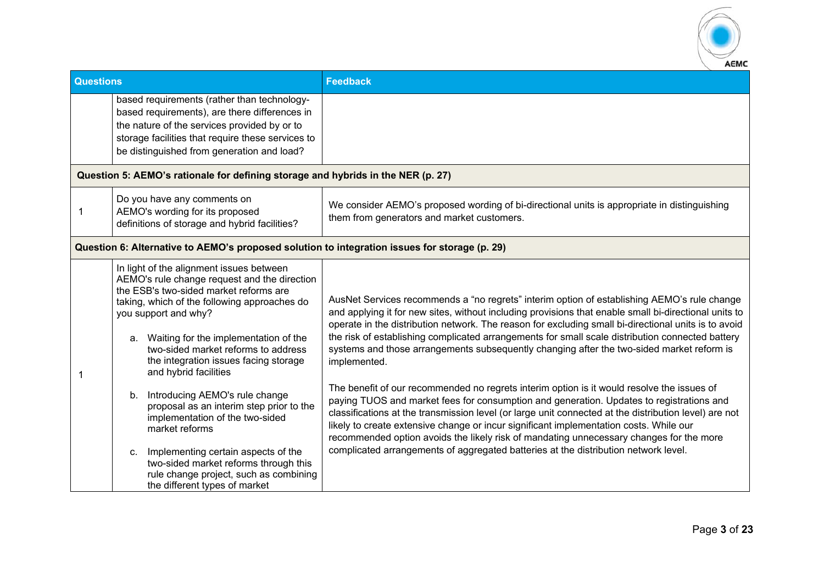

| <b>Questions</b> |                                                                                                                                                                                                                                                                                                                                                                 | <b>Feedback</b>                                                                                                                                                                                                                                                                                                                                                                                                                                                                                                               |  |
|------------------|-----------------------------------------------------------------------------------------------------------------------------------------------------------------------------------------------------------------------------------------------------------------------------------------------------------------------------------------------------------------|-------------------------------------------------------------------------------------------------------------------------------------------------------------------------------------------------------------------------------------------------------------------------------------------------------------------------------------------------------------------------------------------------------------------------------------------------------------------------------------------------------------------------------|--|
|                  | based requirements (rather than technology-<br>based requirements), are there differences in<br>the nature of the services provided by or to<br>storage facilities that require these services to<br>be distinguished from generation and load?                                                                                                                 |                                                                                                                                                                                                                                                                                                                                                                                                                                                                                                                               |  |
|                  | Question 5: AEMO's rationale for defining storage and hybrids in the NER (p. 27)                                                                                                                                                                                                                                                                                |                                                                                                                                                                                                                                                                                                                                                                                                                                                                                                                               |  |
| 1                | Do you have any comments on<br>AEMO's wording for its proposed<br>definitions of storage and hybrid facilities?                                                                                                                                                                                                                                                 | We consider AEMO's proposed wording of bi-directional units is appropriate in distinguishing<br>them from generators and market customers.                                                                                                                                                                                                                                                                                                                                                                                    |  |
|                  | Question 6: Alternative to AEMO's proposed solution to integration issues for storage (p. 29)                                                                                                                                                                                                                                                                   |                                                                                                                                                                                                                                                                                                                                                                                                                                                                                                                               |  |
|                  | In light of the alignment issues between<br>AEMO's rule change request and the direction<br>the ESB's two-sided market reforms are<br>taking, which of the following approaches do<br>you support and why?<br>a. Waiting for the implementation of the<br>two-sided market reforms to address<br>the integration issues facing storage<br>and hybrid facilities | AusNet Services recommends a "no regrets" interim option of establishing AEMO's rule change<br>and applying it for new sites, without including provisions that enable small bi-directional units to<br>operate in the distribution network. The reason for excluding small bi-directional units is to avoid<br>the risk of establishing complicated arrangements for small scale distribution connected battery<br>systems and those arrangements subsequently changing after the two-sided market reform is<br>implemented. |  |
|                  | b. Introducing AEMO's rule change<br>proposal as an interim step prior to the<br>implementation of the two-sided<br>market reforms                                                                                                                                                                                                                              | The benefit of our recommended no regrets interim option is it would resolve the issues of<br>paying TUOS and market fees for consumption and generation. Updates to registrations and<br>classifications at the transmission level (or large unit connected at the distribution level) are not<br>likely to create extensive change or incur significant implementation costs. While our<br>recommended option avoids the likely risk of mandating unnecessary changes for the more                                          |  |
|                  | Implementing certain aspects of the<br>$C_{\cdot}$<br>two-sided market reforms through this<br>rule change project, such as combining<br>the different types of market                                                                                                                                                                                          | complicated arrangements of aggregated batteries at the distribution network level.                                                                                                                                                                                                                                                                                                                                                                                                                                           |  |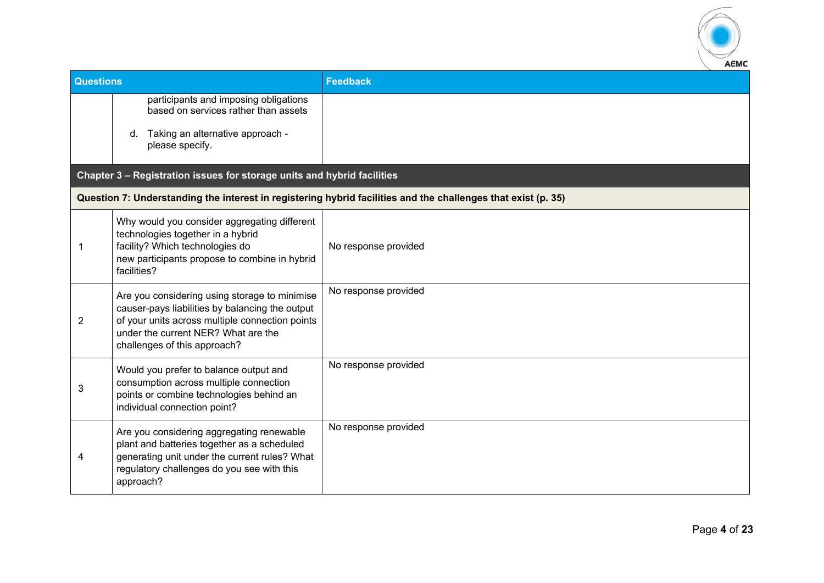

| <b>Questions</b> | <b>Feedback</b>                                                                                                                                                                                                                                                                                                                                                                                                                                                                                                                                                                                                                                                                                                                                                                                                                                                                                                                                                                                               |
|------------------|---------------------------------------------------------------------------------------------------------------------------------------------------------------------------------------------------------------------------------------------------------------------------------------------------------------------------------------------------------------------------------------------------------------------------------------------------------------------------------------------------------------------------------------------------------------------------------------------------------------------------------------------------------------------------------------------------------------------------------------------------------------------------------------------------------------------------------------------------------------------------------------------------------------------------------------------------------------------------------------------------------------|
|                  |                                                                                                                                                                                                                                                                                                                                                                                                                                                                                                                                                                                                                                                                                                                                                                                                                                                                                                                                                                                                               |
| d.               |                                                                                                                                                                                                                                                                                                                                                                                                                                                                                                                                                                                                                                                                                                                                                                                                                                                                                                                                                                                                               |
|                  |                                                                                                                                                                                                                                                                                                                                                                                                                                                                                                                                                                                                                                                                                                                                                                                                                                                                                                                                                                                                               |
|                  | Question 7: Understanding the interest in registering hybrid facilities and the challenges that exist (p. 35)                                                                                                                                                                                                                                                                                                                                                                                                                                                                                                                                                                                                                                                                                                                                                                                                                                                                                                 |
|                  | No response provided                                                                                                                                                                                                                                                                                                                                                                                                                                                                                                                                                                                                                                                                                                                                                                                                                                                                                                                                                                                          |
|                  | No response provided                                                                                                                                                                                                                                                                                                                                                                                                                                                                                                                                                                                                                                                                                                                                                                                                                                                                                                                                                                                          |
|                  | No response provided                                                                                                                                                                                                                                                                                                                                                                                                                                                                                                                                                                                                                                                                                                                                                                                                                                                                                                                                                                                          |
|                  | No response provided                                                                                                                                                                                                                                                                                                                                                                                                                                                                                                                                                                                                                                                                                                                                                                                                                                                                                                                                                                                          |
|                  | participants and imposing obligations<br>based on services rather than assets<br>Taking an alternative approach -<br>please specify.<br>Chapter 3 - Registration issues for storage units and hybrid facilities<br>Why would you consider aggregating different<br>technologies together in a hybrid<br>facility? Which technologies do<br>new participants propose to combine in hybrid<br>facilities?<br>Are you considering using storage to minimise<br>causer-pays liabilities by balancing the output<br>of your units across multiple connection points<br>under the current NER? What are the<br>challenges of this approach?<br>Would you prefer to balance output and<br>consumption across multiple connection<br>points or combine technologies behind an<br>individual connection point?<br>Are you considering aggregating renewable<br>plant and batteries together as a scheduled<br>generating unit under the current rules? What<br>regulatory challenges do you see with this<br>approach? |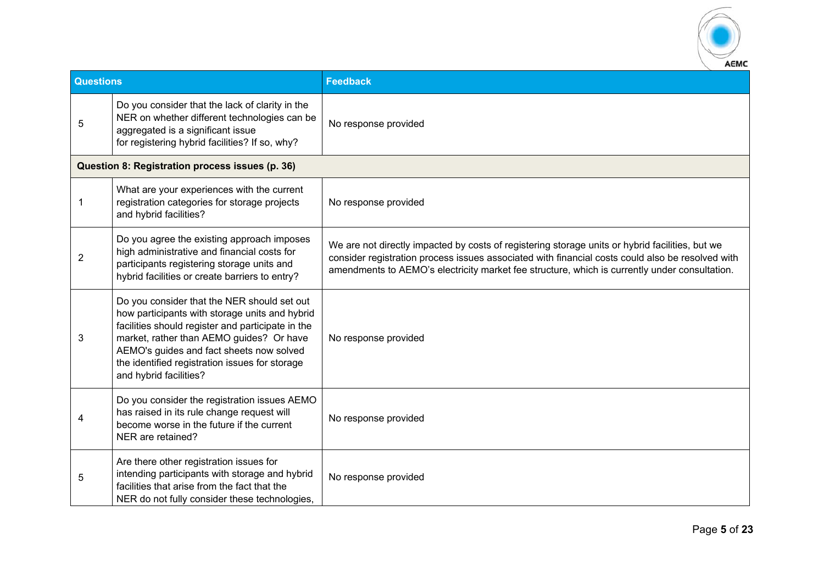

| <b>Questions</b> |                                                                                                                                                                                                                                                                                                                        | <b>Feedback</b>                                                                                                                                                                                                                                                                                      |
|------------------|------------------------------------------------------------------------------------------------------------------------------------------------------------------------------------------------------------------------------------------------------------------------------------------------------------------------|------------------------------------------------------------------------------------------------------------------------------------------------------------------------------------------------------------------------------------------------------------------------------------------------------|
| 5                | Do you consider that the lack of clarity in the<br>NER on whether different technologies can be<br>aggregated is a significant issue<br>for registering hybrid facilities? If so, why?                                                                                                                                 | No response provided                                                                                                                                                                                                                                                                                 |
|                  | Question 8: Registration process issues (p. 36)                                                                                                                                                                                                                                                                        |                                                                                                                                                                                                                                                                                                      |
| 1                | What are your experiences with the current<br>registration categories for storage projects<br>and hybrid facilities?                                                                                                                                                                                                   | No response provided                                                                                                                                                                                                                                                                                 |
| $\overline{2}$   | Do you agree the existing approach imposes<br>high administrative and financial costs for<br>participants registering storage units and<br>hybrid facilities or create barriers to entry?                                                                                                                              | We are not directly impacted by costs of registering storage units or hybrid facilities, but we<br>consider registration process issues associated with financial costs could also be resolved with<br>amendments to AEMO's electricity market fee structure, which is currently under consultation. |
| 3                | Do you consider that the NER should set out<br>how participants with storage units and hybrid<br>facilities should register and participate in the<br>market, rather than AEMO guides? Or have<br>AEMO's guides and fact sheets now solved<br>the identified registration issues for storage<br>and hybrid facilities? | No response provided                                                                                                                                                                                                                                                                                 |
| 4                | Do you consider the registration issues AEMO<br>has raised in its rule change request will<br>become worse in the future if the current<br>NER are retained?                                                                                                                                                           | No response provided                                                                                                                                                                                                                                                                                 |
| 5                | Are there other registration issues for<br>intending participants with storage and hybrid<br>facilities that arise from the fact that the<br>NER do not fully consider these technologies,                                                                                                                             | No response provided                                                                                                                                                                                                                                                                                 |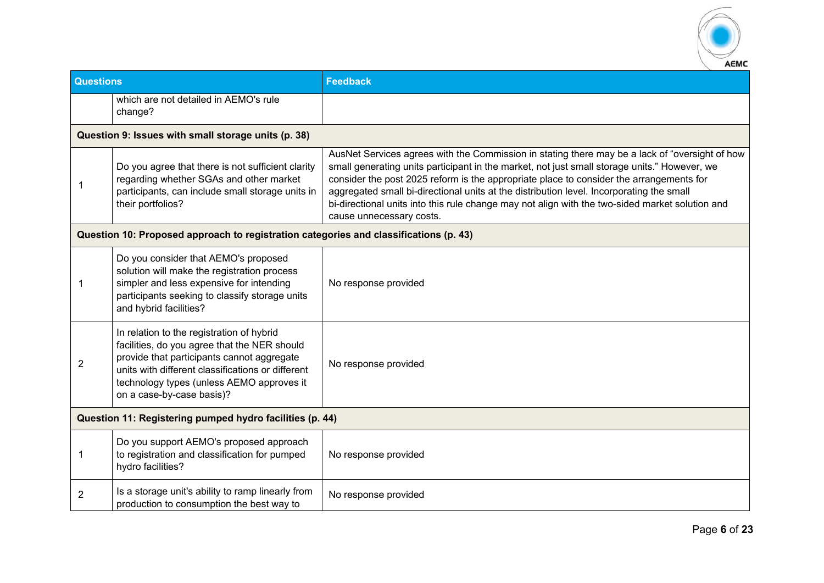

| <b>Questions</b>                                         |                                                                                                                                                                                                                                                                        | <b>Feedback</b>                                                                                                                                                                                                                                                                                                                                                                                                                                                                                                      |
|----------------------------------------------------------|------------------------------------------------------------------------------------------------------------------------------------------------------------------------------------------------------------------------------------------------------------------------|----------------------------------------------------------------------------------------------------------------------------------------------------------------------------------------------------------------------------------------------------------------------------------------------------------------------------------------------------------------------------------------------------------------------------------------------------------------------------------------------------------------------|
|                                                          | which are not detailed in AEMO's rule<br>change?                                                                                                                                                                                                                       |                                                                                                                                                                                                                                                                                                                                                                                                                                                                                                                      |
|                                                          | Question 9: Issues with small storage units (p. 38)                                                                                                                                                                                                                    |                                                                                                                                                                                                                                                                                                                                                                                                                                                                                                                      |
| 1                                                        | Do you agree that there is not sufficient clarity<br>regarding whether SGAs and other market<br>participants, can include small storage units in<br>their portfolios?                                                                                                  | AusNet Services agrees with the Commission in stating there may be a lack of "oversight of how<br>small generating units participant in the market, not just small storage units." However, we<br>consider the post 2025 reform is the appropriate place to consider the arrangements for<br>aggregated small bi-directional units at the distribution level. Incorporating the small<br>bi-directional units into this rule change may not align with the two-sided market solution and<br>cause unnecessary costs. |
|                                                          | Question 10: Proposed approach to registration categories and classifications (p. 43)                                                                                                                                                                                  |                                                                                                                                                                                                                                                                                                                                                                                                                                                                                                                      |
| 1                                                        | Do you consider that AEMO's proposed<br>solution will make the registration process<br>simpler and less expensive for intending<br>participants seeking to classify storage units<br>and hybrid facilities?                                                            | No response provided                                                                                                                                                                                                                                                                                                                                                                                                                                                                                                 |
| $\overline{2}$                                           | In relation to the registration of hybrid<br>facilities, do you agree that the NER should<br>provide that participants cannot aggregate<br>units with different classifications or different<br>technology types (unless AEMO approves it<br>on a case-by-case basis)? | No response provided                                                                                                                                                                                                                                                                                                                                                                                                                                                                                                 |
| Question 11: Registering pumped hydro facilities (p. 44) |                                                                                                                                                                                                                                                                        |                                                                                                                                                                                                                                                                                                                                                                                                                                                                                                                      |
| 1                                                        | Do you support AEMO's proposed approach<br>to registration and classification for pumped<br>hydro facilities?                                                                                                                                                          | No response provided                                                                                                                                                                                                                                                                                                                                                                                                                                                                                                 |
| $\overline{2}$                                           | Is a storage unit's ability to ramp linearly from<br>production to consumption the best way to                                                                                                                                                                         | No response provided                                                                                                                                                                                                                                                                                                                                                                                                                                                                                                 |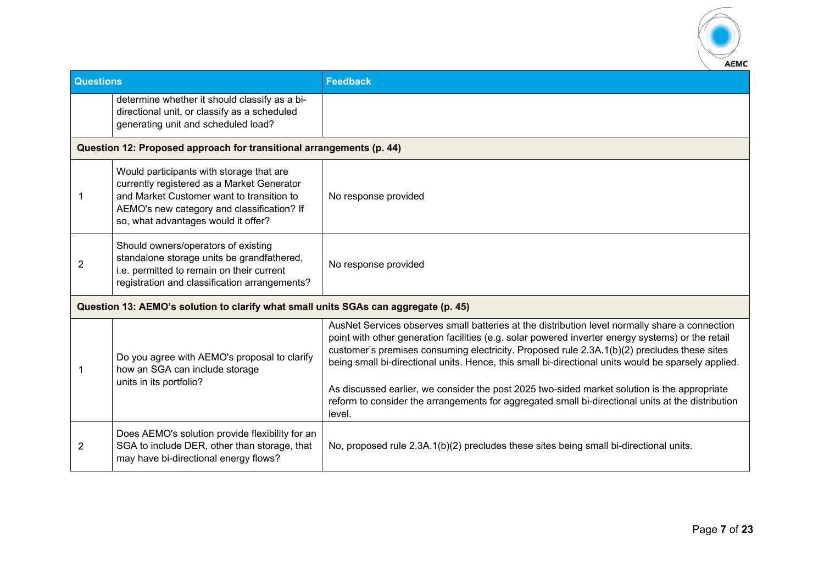

| Questions |                                                                                                                                                                                                                          | <b>Feedback</b>                                                                                                                                                                                                                                                                                                                                                                                                                                                                                                                                                                                                          |  |
|-----------|--------------------------------------------------------------------------------------------------------------------------------------------------------------------------------------------------------------------------|--------------------------------------------------------------------------------------------------------------------------------------------------------------------------------------------------------------------------------------------------------------------------------------------------------------------------------------------------------------------------------------------------------------------------------------------------------------------------------------------------------------------------------------------------------------------------------------------------------------------------|--|
|           | determine whether it should classify as a bi-<br>directional unit, or classify as a scheduled<br>generating unit and scheduled load?                                                                                     |                                                                                                                                                                                                                                                                                                                                                                                                                                                                                                                                                                                                                          |  |
|           | Question 12: Proposed approach for transitional arrangements (p. 44)                                                                                                                                                     |                                                                                                                                                                                                                                                                                                                                                                                                                                                                                                                                                                                                                          |  |
| 1         | Would participants with storage that are<br>currently registered as a Market Generator<br>and Market Customer want to transition to<br>AEMO's new category and classification? If<br>so, what advantages would it offer? | No response provided                                                                                                                                                                                                                                                                                                                                                                                                                                                                                                                                                                                                     |  |
| 2         | Should owners/operators of existing<br>standalone storage units be grandfathered,<br>i.e. permitted to remain on their current<br>registration and classification arrangements?                                          | No response provided                                                                                                                                                                                                                                                                                                                                                                                                                                                                                                                                                                                                     |  |
|           | Question 13: AEMO's solution to clarify what small units SGAs can aggregate (p. 45)                                                                                                                                      |                                                                                                                                                                                                                                                                                                                                                                                                                                                                                                                                                                                                                          |  |
| 1         | Do you agree with AEMO's proposal to clarify<br>how an SGA can include storage<br>units in its portfolio?                                                                                                                | AusNet Services observes small batteries at the distribution level normally share a connection<br>point with other generation facilities (e.g. solar powered inverter energy systems) or the retail<br>customer's premises consuming electricity. Proposed rule 2.3A.1(b)(2) precludes these sites<br>being small bi-directional units. Hence, this small bi-directional units would be sparsely applied.<br>As discussed earlier, we consider the post 2025 two-sided market solution is the appropriate<br>reform to consider the arrangements for aggregated small bi-directional units at the distribution<br>level. |  |
| 2         | Does AEMO's solution provide flexibility for an<br>SGA to include DER, other than storage, that<br>may have bi-directional energy flows?                                                                                 | No, proposed rule 2.3A.1(b)(2) precludes these sites being small bi-directional units.                                                                                                                                                                                                                                                                                                                                                                                                                                                                                                                                   |  |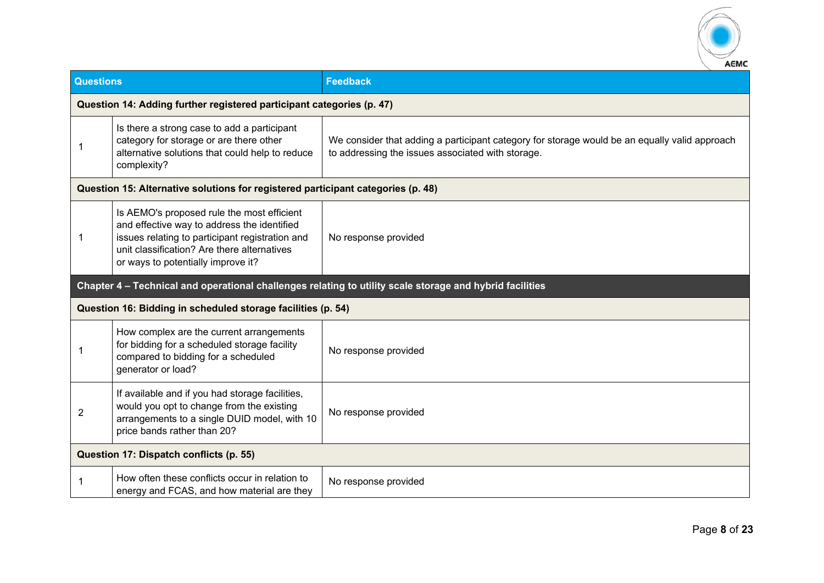

| <b>Questions</b>                        |                                                                                                                                                                                                                                   | <b>Feedback</b>                                                                                                                                    |  |
|-----------------------------------------|-----------------------------------------------------------------------------------------------------------------------------------------------------------------------------------------------------------------------------------|----------------------------------------------------------------------------------------------------------------------------------------------------|--|
|                                         | Question 14: Adding further registered participant categories (p. 47)                                                                                                                                                             |                                                                                                                                                    |  |
|                                         | Is there a strong case to add a participant<br>category for storage or are there other<br>alternative solutions that could help to reduce<br>complexity?                                                                          | We consider that adding a participant category for storage would be an equally valid approach<br>to addressing the issues associated with storage. |  |
|                                         | Question 15: Alternative solutions for registered participant categories (p. 48)                                                                                                                                                  |                                                                                                                                                    |  |
|                                         | Is AEMO's proposed rule the most efficient<br>and effective way to address the identified<br>issues relating to participant registration and<br>unit classification? Are there alternatives<br>or ways to potentially improve it? | No response provided                                                                                                                               |  |
|                                         |                                                                                                                                                                                                                                   | Chapter 4 - Technical and operational challenges relating to utility scale storage and hybrid facilities                                           |  |
|                                         | Question 16: Bidding in scheduled storage facilities (p. 54)                                                                                                                                                                      |                                                                                                                                                    |  |
| -1                                      | How complex are the current arrangements<br>for bidding for a scheduled storage facility<br>compared to bidding for a scheduled<br>generator or load?                                                                             | No response provided                                                                                                                               |  |
| $\overline{c}$                          | If available and if you had storage facilities,<br>would you opt to change from the existing<br>arrangements to a single DUID model, with 10<br>price bands rather than 20?                                                       | No response provided                                                                                                                               |  |
| Question 17: Dispatch conflicts (p. 55) |                                                                                                                                                                                                                                   |                                                                                                                                                    |  |
| -1                                      | How often these conflicts occur in relation to<br>energy and FCAS, and how material are they                                                                                                                                      | No response provided                                                                                                                               |  |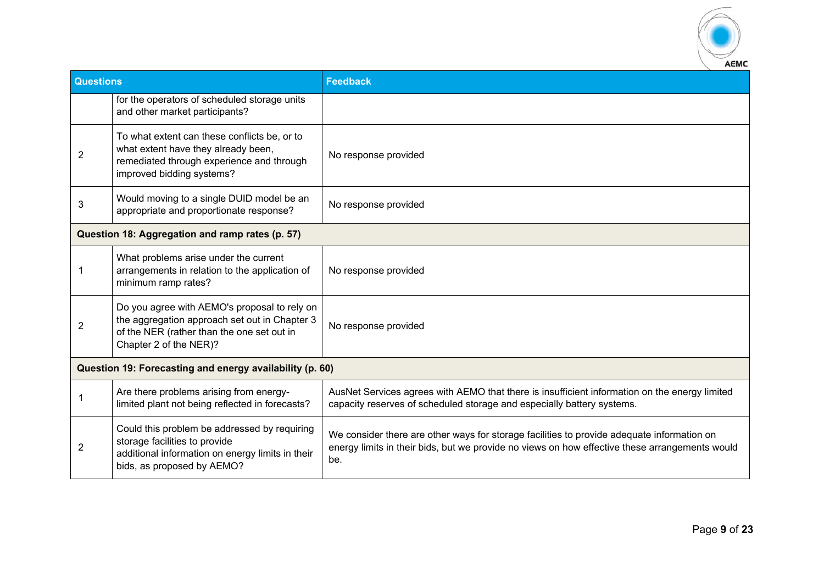

| <b>Questions</b>                                         |                                                                                                                                                                       | <b>Feedback</b>                                                                                                                                                                                     |
|----------------------------------------------------------|-----------------------------------------------------------------------------------------------------------------------------------------------------------------------|-----------------------------------------------------------------------------------------------------------------------------------------------------------------------------------------------------|
|                                                          | for the operators of scheduled storage units<br>and other market participants?                                                                                        |                                                                                                                                                                                                     |
| $\overline{2}$                                           | To what extent can these conflicts be, or to<br>what extent have they already been,<br>remediated through experience and through<br>improved bidding systems?         | No response provided                                                                                                                                                                                |
| 3                                                        | Would moving to a single DUID model be an<br>appropriate and proportionate response?                                                                                  | No response provided                                                                                                                                                                                |
|                                                          | Question 18: Aggregation and ramp rates (p. 57)                                                                                                                       |                                                                                                                                                                                                     |
|                                                          | What problems arise under the current<br>arrangements in relation to the application of<br>minimum ramp rates?                                                        | No response provided                                                                                                                                                                                |
| 2                                                        | Do you agree with AEMO's proposal to rely on<br>the aggregation approach set out in Chapter 3<br>of the NER (rather than the one set out in<br>Chapter 2 of the NER)? | No response provided                                                                                                                                                                                |
| Question 19: Forecasting and energy availability (p. 60) |                                                                                                                                                                       |                                                                                                                                                                                                     |
|                                                          | Are there problems arising from energy-<br>limited plant not being reflected in forecasts?                                                                            | AusNet Services agrees with AEMO that there is insufficient information on the energy limited<br>capacity reserves of scheduled storage and especially battery systems.                             |
| $\overline{2}$                                           | Could this problem be addressed by requiring<br>storage facilities to provide<br>additional information on energy limits in their<br>bids, as proposed by AEMO?       | We consider there are other ways for storage facilities to provide adequate information on<br>energy limits in their bids, but we provide no views on how effective these arrangements would<br>be. |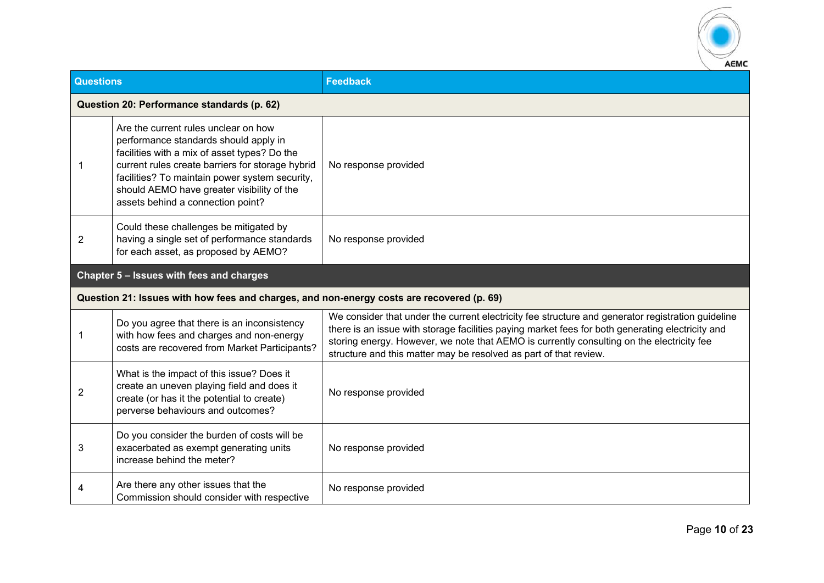

| <b>Questions</b> |                                                                                                                                                                                                                                                                                                                        | <b>Feedback</b>                                                                                                                                                                                                                                                                                                                                                         |  |
|------------------|------------------------------------------------------------------------------------------------------------------------------------------------------------------------------------------------------------------------------------------------------------------------------------------------------------------------|-------------------------------------------------------------------------------------------------------------------------------------------------------------------------------------------------------------------------------------------------------------------------------------------------------------------------------------------------------------------------|--|
|                  | Question 20: Performance standards (p. 62)                                                                                                                                                                                                                                                                             |                                                                                                                                                                                                                                                                                                                                                                         |  |
| 1                | Are the current rules unclear on how<br>performance standards should apply in<br>facilities with a mix of asset types? Do the<br>current rules create barriers for storage hybrid<br>facilities? To maintain power system security,<br>should AEMO have greater visibility of the<br>assets behind a connection point? | No response provided                                                                                                                                                                                                                                                                                                                                                    |  |
| $\overline{c}$   | Could these challenges be mitigated by<br>having a single set of performance standards<br>for each asset, as proposed by AEMO?                                                                                                                                                                                         | No response provided                                                                                                                                                                                                                                                                                                                                                    |  |
|                  | Chapter 5 - Issues with fees and charges                                                                                                                                                                                                                                                                               |                                                                                                                                                                                                                                                                                                                                                                         |  |
|                  | Question 21: Issues with how fees and charges, and non-energy costs are recovered (p. 69)                                                                                                                                                                                                                              |                                                                                                                                                                                                                                                                                                                                                                         |  |
| 1                | Do you agree that there is an inconsistency<br>with how fees and charges and non-energy<br>costs are recovered from Market Participants?                                                                                                                                                                               | We consider that under the current electricity fee structure and generator registration guideline<br>there is an issue with storage facilities paying market fees for both generating electricity and<br>storing energy. However, we note that AEMO is currently consulting on the electricity fee<br>structure and this matter may be resolved as part of that review. |  |
| $\overline{2}$   | What is the impact of this issue? Does it<br>create an uneven playing field and does it<br>create (or has it the potential to create)<br>perverse behaviours and outcomes?                                                                                                                                             | No response provided                                                                                                                                                                                                                                                                                                                                                    |  |
| 3                | Do you consider the burden of costs will be<br>exacerbated as exempt generating units<br>increase behind the meter?                                                                                                                                                                                                    | No response provided                                                                                                                                                                                                                                                                                                                                                    |  |
| 4                | Are there any other issues that the<br>Commission should consider with respective                                                                                                                                                                                                                                      | No response provided                                                                                                                                                                                                                                                                                                                                                    |  |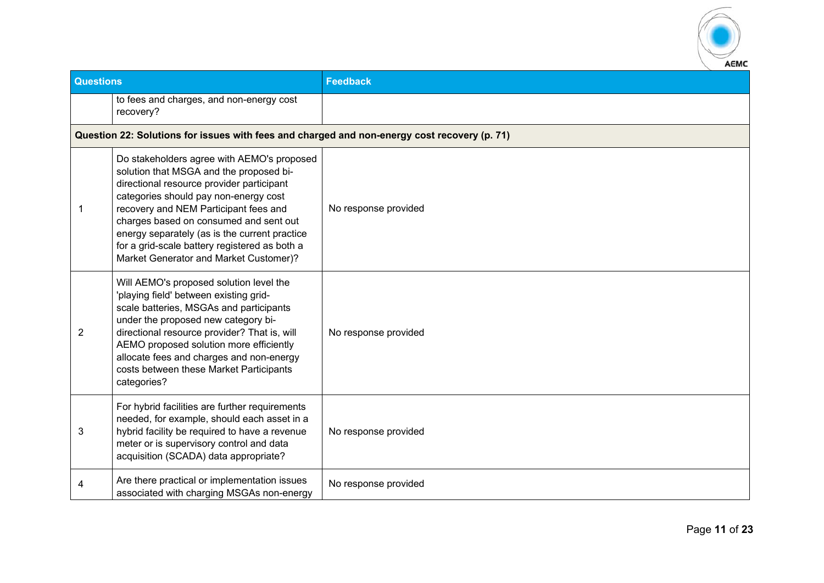

| <b>Questions</b> |                                                                                                                                                                                                                                                                                                                                                                                                            | <b>Feedback</b>      |
|------------------|------------------------------------------------------------------------------------------------------------------------------------------------------------------------------------------------------------------------------------------------------------------------------------------------------------------------------------------------------------------------------------------------------------|----------------------|
|                  | to fees and charges, and non-energy cost<br>recovery?                                                                                                                                                                                                                                                                                                                                                      |                      |
|                  | Question 22: Solutions for issues with fees and charged and non-energy cost recovery (p. 71)                                                                                                                                                                                                                                                                                                               |                      |
| 1                | Do stakeholders agree with AEMO's proposed<br>solution that MSGA and the proposed bi-<br>directional resource provider participant<br>categories should pay non-energy cost<br>recovery and NEM Participant fees and<br>charges based on consumed and sent out<br>energy separately (as is the current practice<br>for a grid-scale battery registered as both a<br>Market Generator and Market Customer)? | No response provided |
| 2                | Will AEMO's proposed solution level the<br>'playing field' between existing grid-<br>scale batteries, MSGAs and participants<br>under the proposed new category bi-<br>directional resource provider? That is, will<br>AEMO proposed solution more efficiently<br>allocate fees and charges and non-energy<br>costs between these Market Participants<br>categories?                                       | No response provided |
| 3                | For hybrid facilities are further requirements<br>needed, for example, should each asset in a<br>hybrid facility be required to have a revenue<br>meter or is supervisory control and data<br>acquisition (SCADA) data appropriate?                                                                                                                                                                        | No response provided |
| 4                | Are there practical or implementation issues<br>associated with charging MSGAs non-energy                                                                                                                                                                                                                                                                                                                  | No response provided |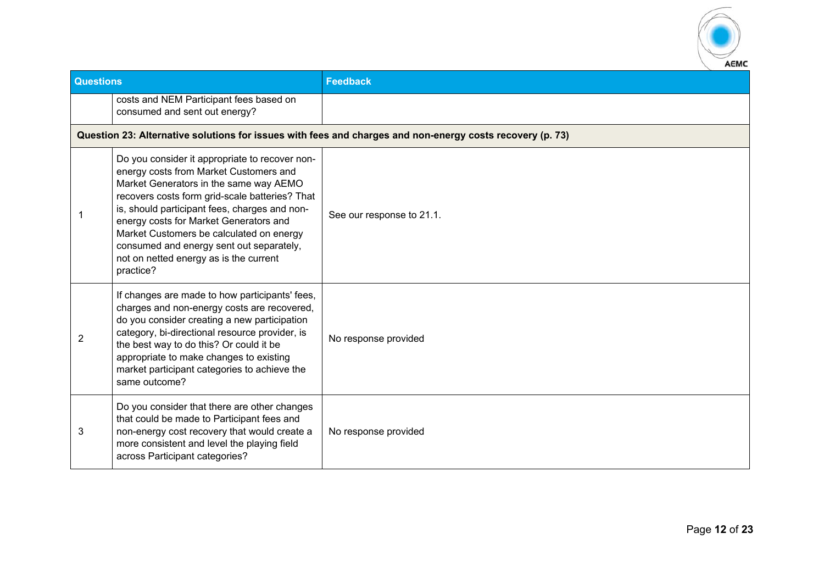

| <b>Questions</b> |                                                                                                                                                                                                                                                                                                                                                                                                                                | <b>Feedback</b>                                                                                           |
|------------------|--------------------------------------------------------------------------------------------------------------------------------------------------------------------------------------------------------------------------------------------------------------------------------------------------------------------------------------------------------------------------------------------------------------------------------|-----------------------------------------------------------------------------------------------------------|
|                  | costs and NEM Participant fees based on<br>consumed and sent out energy?                                                                                                                                                                                                                                                                                                                                                       |                                                                                                           |
|                  |                                                                                                                                                                                                                                                                                                                                                                                                                                | Question 23: Alternative solutions for issues with fees and charges and non-energy costs recovery (p. 73) |
| 1                | Do you consider it appropriate to recover non-<br>energy costs from Market Customers and<br>Market Generators in the same way AEMO<br>recovers costs form grid-scale batteries? That<br>is, should participant fees, charges and non-<br>energy costs for Market Generators and<br>Market Customers be calculated on energy<br>consumed and energy sent out separately,<br>not on netted energy as is the current<br>practice? | See our response to 21.1.                                                                                 |
| $\overline{2}$   | If changes are made to how participants' fees,<br>charges and non-energy costs are recovered,<br>do you consider creating a new participation<br>category, bi-directional resource provider, is<br>the best way to do this? Or could it be<br>appropriate to make changes to existing<br>market participant categories to achieve the<br>same outcome?                                                                         | No response provided                                                                                      |
| 3                | Do you consider that there are other changes<br>that could be made to Participant fees and<br>non-energy cost recovery that would create a<br>more consistent and level the playing field<br>across Participant categories?                                                                                                                                                                                                    | No response provided                                                                                      |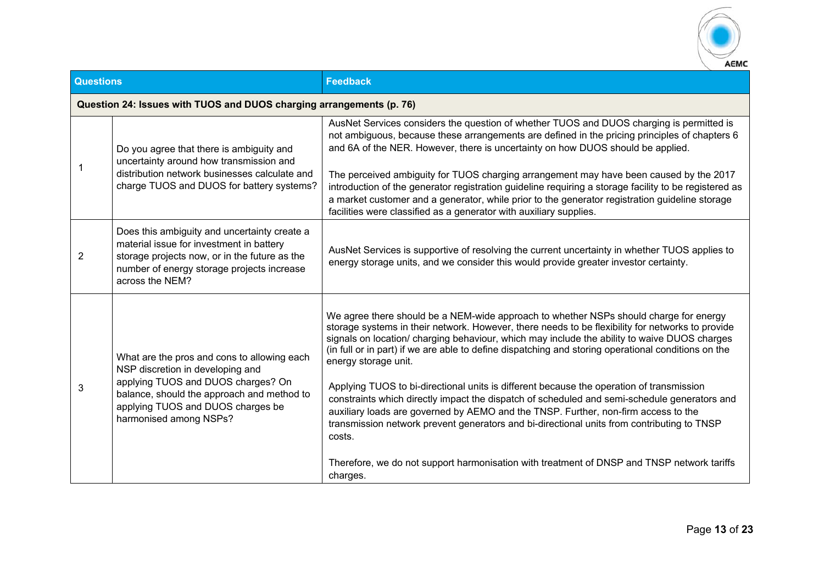

| <b>Questions</b> |                                                                                                                                                                                                                                    | <b>Feedback</b>                                                                                                                                                                                                                                                                                                                                                                                                                                                                                                                                                                                                                                                                                                                                                                                                                                                                                                              |
|------------------|------------------------------------------------------------------------------------------------------------------------------------------------------------------------------------------------------------------------------------|------------------------------------------------------------------------------------------------------------------------------------------------------------------------------------------------------------------------------------------------------------------------------------------------------------------------------------------------------------------------------------------------------------------------------------------------------------------------------------------------------------------------------------------------------------------------------------------------------------------------------------------------------------------------------------------------------------------------------------------------------------------------------------------------------------------------------------------------------------------------------------------------------------------------------|
|                  | Question 24: Issues with TUOS and DUOS charging arrangements (p. 76)                                                                                                                                                               |                                                                                                                                                                                                                                                                                                                                                                                                                                                                                                                                                                                                                                                                                                                                                                                                                                                                                                                              |
|                  | Do you agree that there is ambiguity and<br>uncertainty around how transmission and<br>distribution network businesses calculate and<br>charge TUOS and DUOS for battery systems?                                                  | AusNet Services considers the question of whether TUOS and DUOS charging is permitted is<br>not ambiguous, because these arrangements are defined in the pricing principles of chapters 6<br>and 6A of the NER. However, there is uncertainty on how DUOS should be applied.<br>The perceived ambiguity for TUOS charging arrangement may have been caused by the 2017<br>introduction of the generator registration guideline requiring a storage facility to be registered as<br>a market customer and a generator, while prior to the generator registration guideline storage<br>facilities were classified as a generator with auxiliary supplies.                                                                                                                                                                                                                                                                      |
| 2                | Does this ambiguity and uncertainty create a<br>material issue for investment in battery<br>storage projects now, or in the future as the<br>number of energy storage projects increase<br>across the NEM?                         | AusNet Services is supportive of resolving the current uncertainty in whether TUOS applies to<br>energy storage units, and we consider this would provide greater investor certainty.                                                                                                                                                                                                                                                                                                                                                                                                                                                                                                                                                                                                                                                                                                                                        |
| 3                | What are the pros and cons to allowing each<br>NSP discretion in developing and<br>applying TUOS and DUOS charges? On<br>balance, should the approach and method to<br>applying TUOS and DUOS charges be<br>harmonised among NSPs? | We agree there should be a NEM-wide approach to whether NSPs should charge for energy<br>storage systems in their network. However, there needs to be flexibility for networks to provide<br>signals on location/ charging behaviour, which may include the ability to waive DUOS charges<br>(in full or in part) if we are able to define dispatching and storing operational conditions on the<br>energy storage unit.<br>Applying TUOS to bi-directional units is different because the operation of transmission<br>constraints which directly impact the dispatch of scheduled and semi-schedule generators and<br>auxiliary loads are governed by AEMO and the TNSP. Further, non-firm access to the<br>transmission network prevent generators and bi-directional units from contributing to TNSP<br>costs.<br>Therefore, we do not support harmonisation with treatment of DNSP and TNSP network tariffs<br>charges. |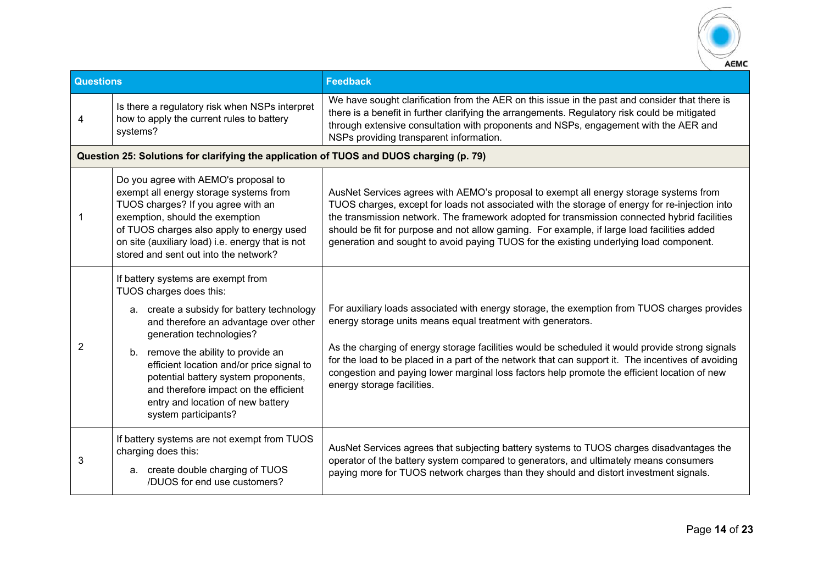

| <b>Questions</b> |                                                                                                                                                                                                                                                                                                                                                                                                                    | <b>Feedback</b>                                                                                                                                                                                                                                                                                                                                                                                                                                                                                    |
|------------------|--------------------------------------------------------------------------------------------------------------------------------------------------------------------------------------------------------------------------------------------------------------------------------------------------------------------------------------------------------------------------------------------------------------------|----------------------------------------------------------------------------------------------------------------------------------------------------------------------------------------------------------------------------------------------------------------------------------------------------------------------------------------------------------------------------------------------------------------------------------------------------------------------------------------------------|
| 4                | Is there a regulatory risk when NSPs interpret<br>how to apply the current rules to battery<br>systems?                                                                                                                                                                                                                                                                                                            | We have sought clarification from the AER on this issue in the past and consider that there is<br>there is a benefit in further clarifying the arrangements. Regulatory risk could be mitigated<br>through extensive consultation with proponents and NSPs, engagement with the AER and<br>NSPs providing transparent information.                                                                                                                                                                 |
|                  | Question 25: Solutions for clarifying the application of TUOS and DUOS charging (p. 79)                                                                                                                                                                                                                                                                                                                            |                                                                                                                                                                                                                                                                                                                                                                                                                                                                                                    |
| 1                | Do you agree with AEMO's proposal to<br>exempt all energy storage systems from<br>TUOS charges? If you agree with an<br>exemption, should the exemption<br>of TUOS charges also apply to energy used<br>on site (auxiliary load) i.e. energy that is not<br>stored and sent out into the network?                                                                                                                  | AusNet Services agrees with AEMO's proposal to exempt all energy storage systems from<br>TUOS charges, except for loads not associated with the storage of energy for re-injection into<br>the transmission network. The framework adopted for transmission connected hybrid facilities<br>should be fit for purpose and not allow gaming. For example, if large load facilities added<br>generation and sought to avoid paying TUOS for the existing underlying load component.                   |
| 2                | If battery systems are exempt from<br>TUOS charges does this:<br>a. create a subsidy for battery technology<br>and therefore an advantage over other<br>generation technologies?<br>b. remove the ability to provide an<br>efficient location and/or price signal to<br>potential battery system proponents,<br>and therefore impact on the efficient<br>entry and location of new battery<br>system participants? | For auxiliary loads associated with energy storage, the exemption from TUOS charges provides<br>energy storage units means equal treatment with generators.<br>As the charging of energy storage facilities would be scheduled it would provide strong signals<br>for the load to be placed in a part of the network that can support it. The incentives of avoiding<br>congestion and paying lower marginal loss factors help promote the efficient location of new<br>energy storage facilities. |
| 3                | If battery systems are not exempt from TUOS<br>charging does this:<br>a. create double charging of TUOS<br>/DUOS for end use customers?                                                                                                                                                                                                                                                                            | AusNet Services agrees that subjecting battery systems to TUOS charges disadvantages the<br>operator of the battery system compared to generators, and ultimately means consumers<br>paying more for TUOS network charges than they should and distort investment signals.                                                                                                                                                                                                                         |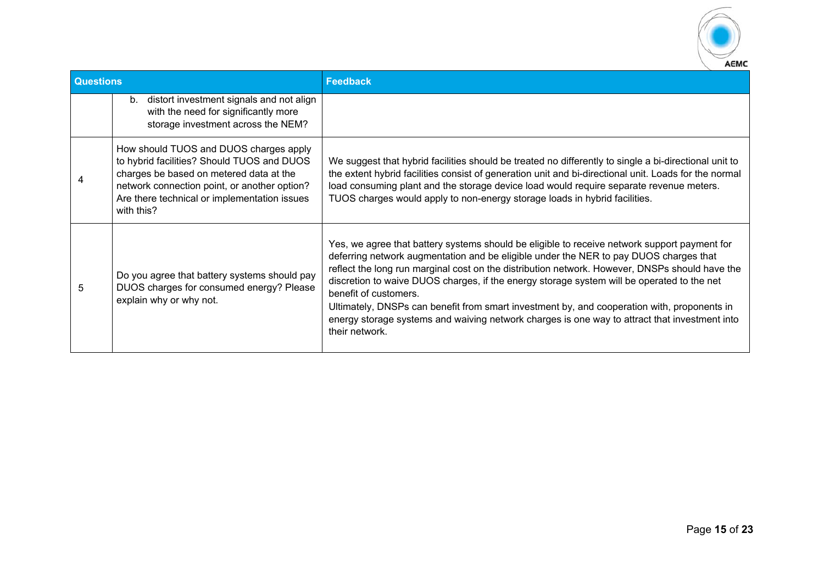

| <b>Questions</b> |                                                                                                                                                                                                                                               | <b>Feedback</b>                                                                                                                                                                                                                                                                                                                                                                                                                                                                                                                                                                                                                  |
|------------------|-----------------------------------------------------------------------------------------------------------------------------------------------------------------------------------------------------------------------------------------------|----------------------------------------------------------------------------------------------------------------------------------------------------------------------------------------------------------------------------------------------------------------------------------------------------------------------------------------------------------------------------------------------------------------------------------------------------------------------------------------------------------------------------------------------------------------------------------------------------------------------------------|
|                  | distort investment signals and not align<br>b.<br>with the need for significantly more<br>storage investment across the NEM?                                                                                                                  |                                                                                                                                                                                                                                                                                                                                                                                                                                                                                                                                                                                                                                  |
|                  | How should TUOS and DUOS charges apply<br>to hybrid facilities? Should TUOS and DUOS<br>charges be based on metered data at the<br>network connection point, or another option?<br>Are there technical or implementation issues<br>with this? | We suggest that hybrid facilities should be treated no differently to single a bi-directional unit to<br>the extent hybrid facilities consist of generation unit and bi-directional unit. Loads for the normal<br>load consuming plant and the storage device load would require separate revenue meters.<br>TUOS charges would apply to non-energy storage loads in hybrid facilities.                                                                                                                                                                                                                                          |
| 5                | Do you agree that battery systems should pay<br>DUOS charges for consumed energy? Please<br>explain why or why not.                                                                                                                           | Yes, we agree that battery systems should be eligible to receive network support payment for<br>deferring network augmentation and be eligible under the NER to pay DUOS charges that<br>reflect the long run marginal cost on the distribution network. However, DNSPs should have the<br>discretion to waive DUOS charges, if the energy storage system will be operated to the net<br>benefit of customers.<br>Ultimately, DNSPs can benefit from smart investment by, and cooperation with, proponents in<br>energy storage systems and waiving network charges is one way to attract that investment into<br>their network. |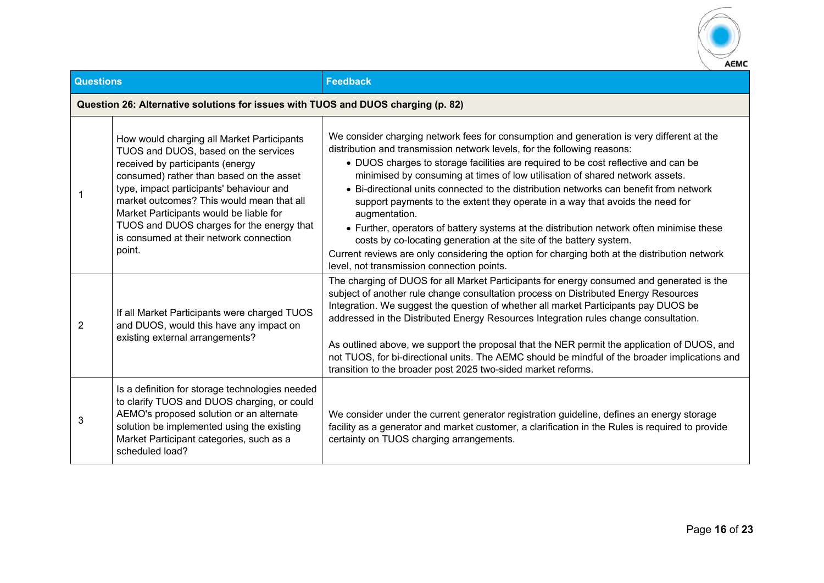

| <b>Questions</b> |                                                                                                                                                                                                                                                                                                                                                                                                          | <b>Feedback</b>                                                                                                                                                                                                                                                                                                                                                                                                                                                                                                                                                                                                                                                                                                                                                                                                                                          |
|------------------|----------------------------------------------------------------------------------------------------------------------------------------------------------------------------------------------------------------------------------------------------------------------------------------------------------------------------------------------------------------------------------------------------------|----------------------------------------------------------------------------------------------------------------------------------------------------------------------------------------------------------------------------------------------------------------------------------------------------------------------------------------------------------------------------------------------------------------------------------------------------------------------------------------------------------------------------------------------------------------------------------------------------------------------------------------------------------------------------------------------------------------------------------------------------------------------------------------------------------------------------------------------------------|
|                  | Question 26: Alternative solutions for issues with TUOS and DUOS charging (p. 82)                                                                                                                                                                                                                                                                                                                        |                                                                                                                                                                                                                                                                                                                                                                                                                                                                                                                                                                                                                                                                                                                                                                                                                                                          |
| 1                | How would charging all Market Participants<br>TUOS and DUOS, based on the services<br>received by participants (energy<br>consumed) rather than based on the asset<br>type, impact participants' behaviour and<br>market outcomes? This would mean that all<br>Market Participants would be liable for<br>TUOS and DUOS charges for the energy that<br>is consumed at their network connection<br>point. | We consider charging network fees for consumption and generation is very different at the<br>distribution and transmission network levels, for the following reasons:<br>• DUOS charges to storage facilities are required to be cost reflective and can be<br>minimised by consuming at times of low utilisation of shared network assets.<br>• Bi-directional units connected to the distribution networks can benefit from network<br>support payments to the extent they operate in a way that avoids the need for<br>augmentation.<br>• Further, operators of battery systems at the distribution network often minimise these<br>costs by co-locating generation at the site of the battery system.<br>Current reviews are only considering the option for charging both at the distribution network<br>level, not transmission connection points. |
| 2                | If all Market Participants were charged TUOS<br>and DUOS, would this have any impact on<br>existing external arrangements?                                                                                                                                                                                                                                                                               | The charging of DUOS for all Market Participants for energy consumed and generated is the<br>subject of another rule change consultation process on Distributed Energy Resources<br>Integration. We suggest the question of whether all market Participants pay DUOS be<br>addressed in the Distributed Energy Resources Integration rules change consultation.<br>As outlined above, we support the proposal that the NER permit the application of DUOS, and<br>not TUOS, for bi-directional units. The AEMC should be mindful of the broader implications and<br>transition to the broader post 2025 two-sided market reforms.                                                                                                                                                                                                                        |
| 3                | Is a definition for storage technologies needed<br>to clarify TUOS and DUOS charging, or could<br>AEMO's proposed solution or an alternate<br>solution be implemented using the existing<br>Market Participant categories, such as a<br>scheduled load?                                                                                                                                                  | We consider under the current generator registration guideline, defines an energy storage<br>facility as a generator and market customer, a clarification in the Rules is required to provide<br>certainty on TUOS charging arrangements.                                                                                                                                                                                                                                                                                                                                                                                                                                                                                                                                                                                                                |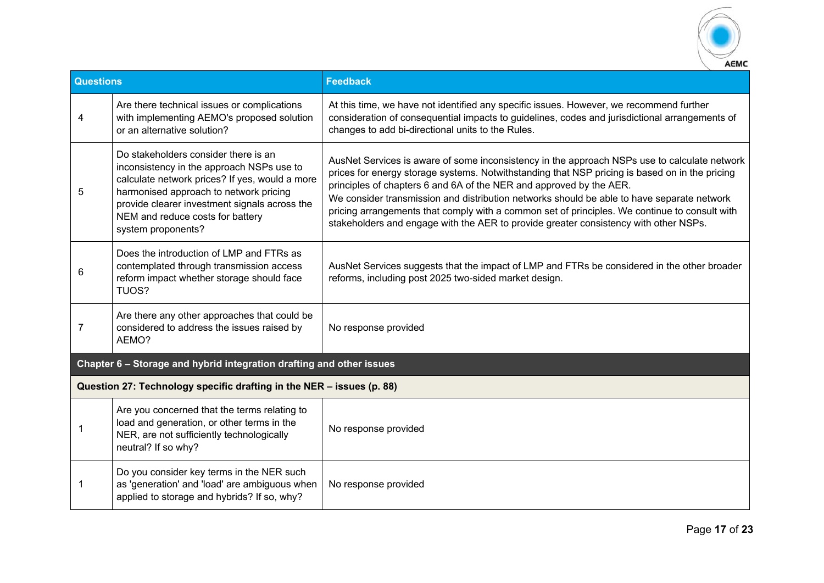

| <b>Questions</b> |                                                                                                                                                                                                                                                                                          | <b>Feedback</b>                                                                                                                                                                                                                                                                                                                                                                                                                                                                                                                                              |
|------------------|------------------------------------------------------------------------------------------------------------------------------------------------------------------------------------------------------------------------------------------------------------------------------------------|--------------------------------------------------------------------------------------------------------------------------------------------------------------------------------------------------------------------------------------------------------------------------------------------------------------------------------------------------------------------------------------------------------------------------------------------------------------------------------------------------------------------------------------------------------------|
| 4                | Are there technical issues or complications<br>with implementing AEMO's proposed solution<br>or an alternative solution?                                                                                                                                                                 | At this time, we have not identified any specific issues. However, we recommend further<br>consideration of consequential impacts to guidelines, codes and jurisdictional arrangements of<br>changes to add bi-directional units to the Rules.                                                                                                                                                                                                                                                                                                               |
| 5                | Do stakeholders consider there is an<br>inconsistency in the approach NSPs use to<br>calculate network prices? If yes, would a more<br>harmonised approach to network pricing<br>provide clearer investment signals across the<br>NEM and reduce costs for battery<br>system proponents? | AusNet Services is aware of some inconsistency in the approach NSPs use to calculate network<br>prices for energy storage systems. Notwithstanding that NSP pricing is based on in the pricing<br>principles of chapters 6 and 6A of the NER and approved by the AER.<br>We consider transmission and distribution networks should be able to have separate network<br>pricing arrangements that comply with a common set of principles. We continue to consult with<br>stakeholders and engage with the AER to provide greater consistency with other NSPs. |
| 6                | Does the introduction of LMP and FTRs as<br>contemplated through transmission access<br>reform impact whether storage should face<br>TUOS?                                                                                                                                               | AusNet Services suggests that the impact of LMP and FTRs be considered in the other broader<br>reforms, including post 2025 two-sided market design.                                                                                                                                                                                                                                                                                                                                                                                                         |
| 7                | Are there any other approaches that could be<br>considered to address the issues raised by<br>AEMO?                                                                                                                                                                                      | No response provided                                                                                                                                                                                                                                                                                                                                                                                                                                                                                                                                         |
|                  | Chapter 6 - Storage and hybrid integration drafting and other issues                                                                                                                                                                                                                     |                                                                                                                                                                                                                                                                                                                                                                                                                                                                                                                                                              |
|                  | Question 27: Technology specific drafting in the NER - issues (p. 88)                                                                                                                                                                                                                    |                                                                                                                                                                                                                                                                                                                                                                                                                                                                                                                                                              |
|                  | Are you concerned that the terms relating to<br>load and generation, or other terms in the<br>NER, are not sufficiently technologically<br>neutral? If so why?                                                                                                                           | No response provided                                                                                                                                                                                                                                                                                                                                                                                                                                                                                                                                         |
|                  | Do you consider key terms in the NER such<br>as 'generation' and 'load' are ambiguous when<br>applied to storage and hybrids? If so, why?                                                                                                                                                | No response provided                                                                                                                                                                                                                                                                                                                                                                                                                                                                                                                                         |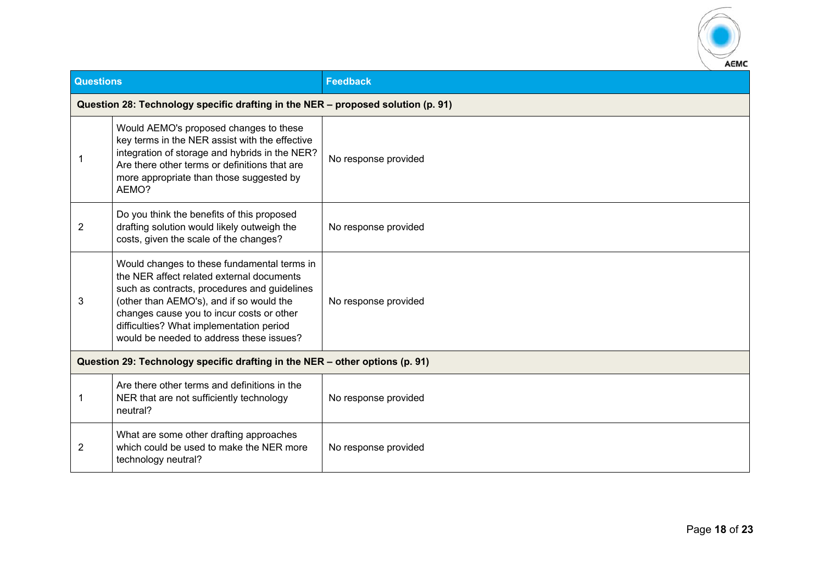

| Questions      |                                                                                                                                                                                                                                                                                                                           | <b>Feedback</b>      |
|----------------|---------------------------------------------------------------------------------------------------------------------------------------------------------------------------------------------------------------------------------------------------------------------------------------------------------------------------|----------------------|
|                | Question 28: Technology specific drafting in the NER - proposed solution (p. 91)                                                                                                                                                                                                                                          |                      |
| 1              | Would AEMO's proposed changes to these<br>key terms in the NER assist with the effective<br>integration of storage and hybrids in the NER?<br>Are there other terms or definitions that are<br>more appropriate than those suggested by<br>AEMO?                                                                          | No response provided |
| $\overline{2}$ | Do you think the benefits of this proposed<br>drafting solution would likely outweigh the<br>costs, given the scale of the changes?                                                                                                                                                                                       | No response provided |
| 3              | Would changes to these fundamental terms in<br>the NER affect related external documents<br>such as contracts, procedures and guidelines<br>(other than AEMO's), and if so would the<br>changes cause you to incur costs or other<br>difficulties? What implementation period<br>would be needed to address these issues? | No response provided |
|                | Question 29: Technology specific drafting in the NER - other options (p. 91)                                                                                                                                                                                                                                              |                      |
| 1              | Are there other terms and definitions in the<br>NER that are not sufficiently technology<br>neutral?                                                                                                                                                                                                                      | No response provided |
| $\overline{c}$ | What are some other drafting approaches<br>which could be used to make the NER more<br>technology neutral?                                                                                                                                                                                                                | No response provided |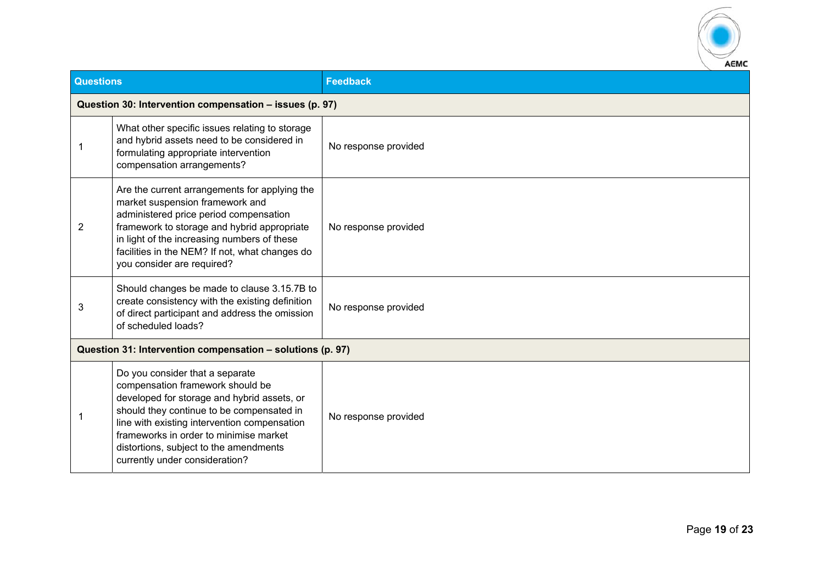

| <b>Questions</b> |                                                                                                                                                                                                                                                                                                                                       | <b>Feedback</b>      |
|------------------|---------------------------------------------------------------------------------------------------------------------------------------------------------------------------------------------------------------------------------------------------------------------------------------------------------------------------------------|----------------------|
|                  | Question 30: Intervention compensation - issues (p. 97)                                                                                                                                                                                                                                                                               |                      |
|                  | What other specific issues relating to storage<br>and hybrid assets need to be considered in<br>formulating appropriate intervention<br>compensation arrangements?                                                                                                                                                                    | No response provided |
| 2                | Are the current arrangements for applying the<br>market suspension framework and<br>administered price period compensation<br>framework to storage and hybrid appropriate<br>in light of the increasing numbers of these<br>facilities in the NEM? If not, what changes do<br>you consider are required?                              | No response provided |
| 3                | Should changes be made to clause 3.15.7B to<br>create consistency with the existing definition<br>of direct participant and address the omission<br>of scheduled loads?                                                                                                                                                               | No response provided |
|                  | Question 31: Intervention compensation - solutions (p. 97)                                                                                                                                                                                                                                                                            |                      |
|                  | Do you consider that a separate<br>compensation framework should be<br>developed for storage and hybrid assets, or<br>should they continue to be compensated in<br>line with existing intervention compensation<br>frameworks in order to minimise market<br>distortions, subject to the amendments<br>currently under consideration? | No response provided |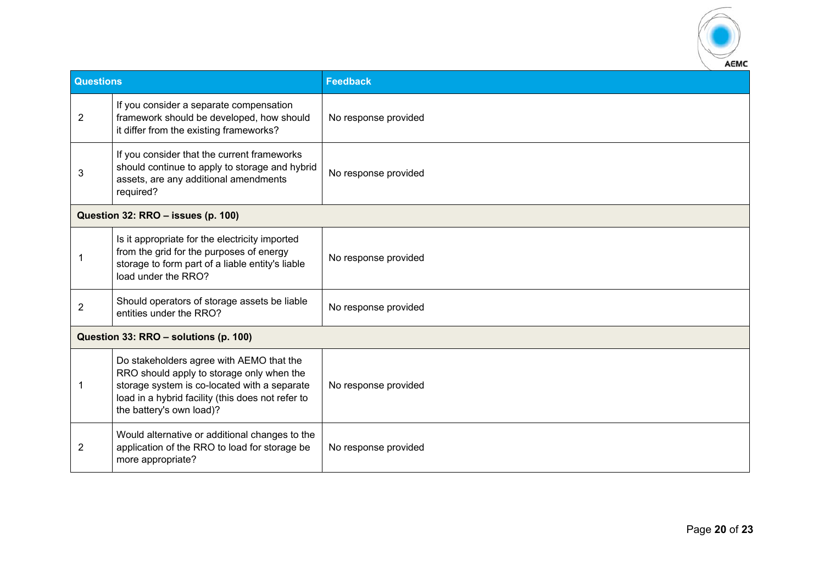

| <b>Questions</b> |                                                                                                                                                                                                                        | Feedback             |
|------------------|------------------------------------------------------------------------------------------------------------------------------------------------------------------------------------------------------------------------|----------------------|
| $\overline{2}$   | If you consider a separate compensation<br>framework should be developed, how should<br>it differ from the existing frameworks?                                                                                        | No response provided |
| 3                | If you consider that the current frameworks<br>should continue to apply to storage and hybrid<br>assets, are any additional amendments<br>required?                                                                    | No response provided |
|                  | Question 32: RRO - issues (p. 100)                                                                                                                                                                                     |                      |
|                  | Is it appropriate for the electricity imported<br>from the grid for the purposes of energy<br>storage to form part of a liable entity's liable<br>load under the RRO?                                                  | No response provided |
| $\overline{2}$   | Should operators of storage assets be liable<br>entities under the RRO?                                                                                                                                                | No response provided |
|                  | Question 33: RRO - solutions (p. 100)                                                                                                                                                                                  |                      |
|                  | Do stakeholders agree with AEMO that the<br>RRO should apply to storage only when the<br>storage system is co-located with a separate<br>load in a hybrid facility (this does not refer to<br>the battery's own load)? | No response provided |
| 2                | Would alternative or additional changes to the<br>application of the RRO to load for storage be<br>more appropriate?                                                                                                   | No response provided |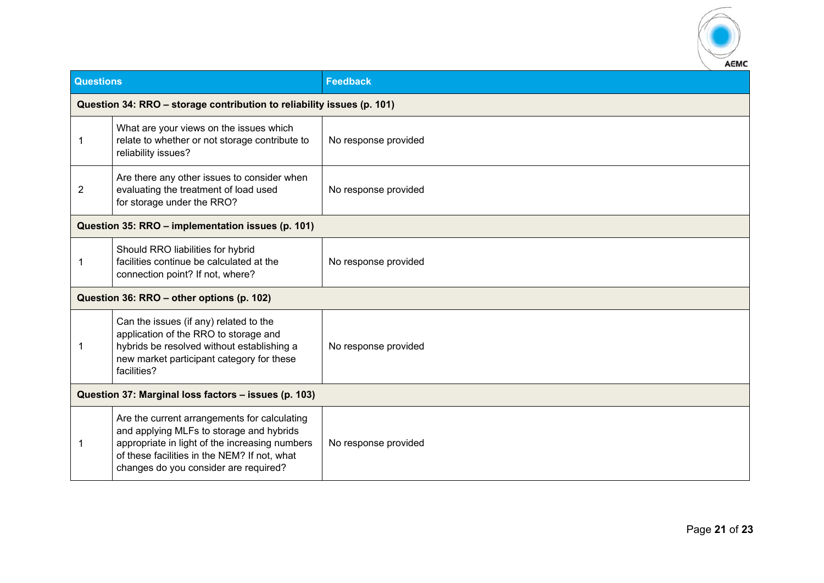

| <b>Questions</b>                                     |                                                                                                                                                                                                                                     | <b>Feedback</b>      |  |
|------------------------------------------------------|-------------------------------------------------------------------------------------------------------------------------------------------------------------------------------------------------------------------------------------|----------------------|--|
|                                                      | Question 34: RRO - storage contribution to reliability issues (p. 101)                                                                                                                                                              |                      |  |
| -1                                                   | What are your views on the issues which<br>relate to whether or not storage contribute to<br>reliability issues?                                                                                                                    | No response provided |  |
| $\overline{2}$                                       | Are there any other issues to consider when<br>evaluating the treatment of load used<br>for storage under the RRO?                                                                                                                  | No response provided |  |
|                                                      | Question 35: RRO - implementation issues (p. 101)                                                                                                                                                                                   |                      |  |
|                                                      | Should RRO liabilities for hybrid<br>facilities continue be calculated at the<br>connection point? If not, where?                                                                                                                   | No response provided |  |
|                                                      | Question 36: RRO - other options (p. 102)                                                                                                                                                                                           |                      |  |
|                                                      | Can the issues (if any) related to the<br>application of the RRO to storage and<br>hybrids be resolved without establishing a<br>new market participant category for these<br>facilities?                                           | No response provided |  |
| Question 37: Marginal loss factors - issues (p. 103) |                                                                                                                                                                                                                                     |                      |  |
| 1                                                    | Are the current arrangements for calculating<br>and applying MLFs to storage and hybrids<br>appropriate in light of the increasing numbers<br>of these facilities in the NEM? If not, what<br>changes do you consider are required? | No response provided |  |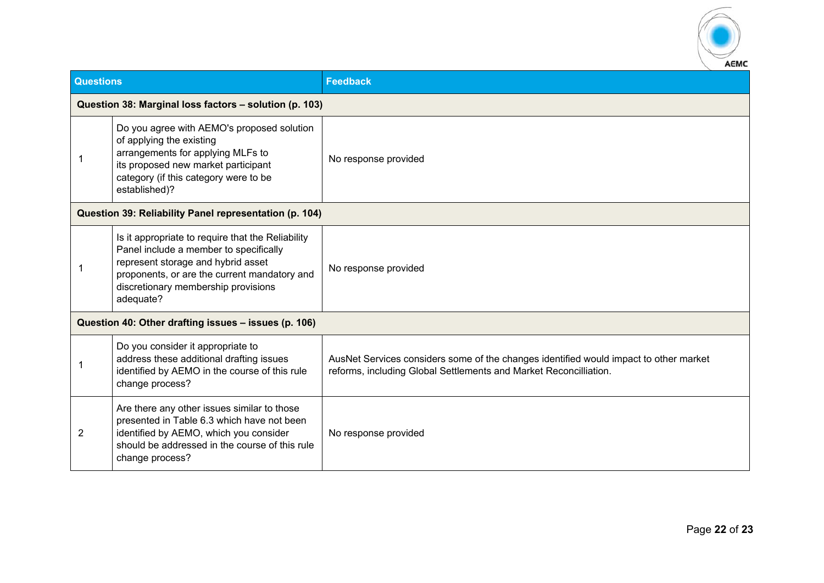

| <b>Questions</b> |                                                                                                                                                                                                                                       | <b>Feedback</b>                                                                                                                                            |
|------------------|---------------------------------------------------------------------------------------------------------------------------------------------------------------------------------------------------------------------------------------|------------------------------------------------------------------------------------------------------------------------------------------------------------|
|                  | Question 38: Marginal loss factors - solution (p. 103)                                                                                                                                                                                |                                                                                                                                                            |
|                  | Do you agree with AEMO's proposed solution<br>of applying the existing<br>arrangements for applying MLFs to<br>its proposed new market participant<br>category (if this category were to be<br>established)?                          | No response provided                                                                                                                                       |
|                  | Question 39: Reliability Panel representation (p. 104)                                                                                                                                                                                |                                                                                                                                                            |
|                  | Is it appropriate to require that the Reliability<br>Panel include a member to specifically<br>represent storage and hybrid asset<br>proponents, or are the current mandatory and<br>discretionary membership provisions<br>adequate? | No response provided                                                                                                                                       |
|                  | Question 40: Other drafting issues - issues (p. 106)                                                                                                                                                                                  |                                                                                                                                                            |
|                  | Do you consider it appropriate to<br>address these additional drafting issues<br>identified by AEMO in the course of this rule<br>change process?                                                                                     | AusNet Services considers some of the changes identified would impact to other market<br>reforms, including Global Settlements and Market Reconcilliation. |
| 2                | Are there any other issues similar to those<br>presented in Table 6.3 which have not been<br>identified by AEMO, which you consider<br>should be addressed in the course of this rule<br>change process?                              | No response provided                                                                                                                                       |